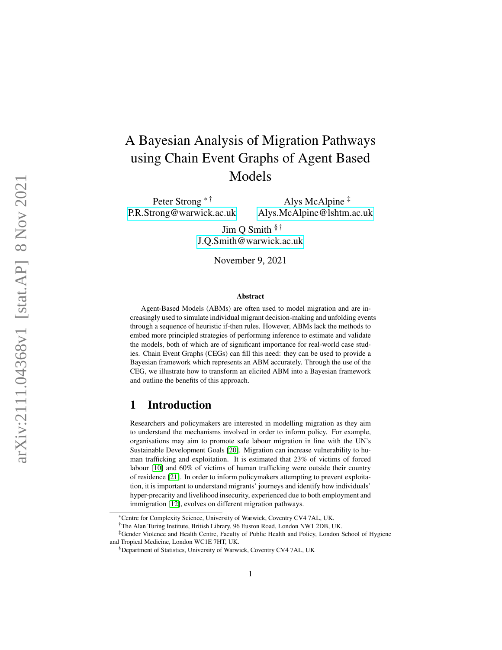# A Bayesian Analysis of Migration Pathways using Chain Event Graphs of Agent Based Models

Peter Strong \*<sup>†</sup> [P.R.Strong@warwick.ac.uk](mailto:P.R.Strong@warwick.ac.uk)

Alys McAlpine ‡ [Alys.McAlpine@lshtm.ac.uk](mailto:Alys.McAlpine@lshtm.ac.uk)

Jim Q Smith  $§$ <sup> $\dagger$ </sup> [J.Q.Smith@warwick.ac.uk](mailto:J.Q.Smith@warwick.ac.uk)

November 9, 2021

#### Abstract

Agent-Based Models (ABMs) are often used to model migration and are increasingly used to simulate individual migrant decision-making and unfolding events through a sequence of heuristic if-then rules. However, ABMs lack the methods to embed more principled strategies of performing inference to estimate and validate the models, both of which are of significant importance for real-world case studies. Chain Event Graphs (CEGs) can fill this need: they can be used to provide a Bayesian framework which represents an ABM accurately. Through the use of the CEG, we illustrate how to transform an elicited ABM into a Bayesian framework and outline the benefits of this approach.

#### 1 Introduction

Researchers and policymakers are interested in modelling migration as they aim to understand the mechanisms involved in order to inform policy. For example, organisations may aim to promote safe labour migration in line with the UN's Sustainable Development Goals [\[20\]](#page-9-0). Migration can increase vulnerability to human trafficking and exploitation. It is estimated that 23% of victims of forced labour [\[10\]](#page-8-0) and 60% of victims of human trafficking were outside their country of residence [\[21\]](#page-9-1). In order to inform policymakers attempting to prevent exploitation, it is important to understand migrants' journeys and identify how individuals' hyper-precarity and livelihood insecurity, experienced due to both employment and immigration [\[12\]](#page-9-2), evolves on different migration pathways.

<sup>\*</sup>Centre for Complexity Science, University of Warwick, Coventry CV4 7AL, UK.

<sup>†</sup>The Alan Turing Institute, British Library, 96 Euston Road, London NW1 2DB, UK.

<sup>‡</sup>Gender Violence and Health Centre, Faculty of Public Health and Policy, London School of Hygiene and Tropical Medicine, London WC1E 7HT, UK.

<sup>§</sup>Department of Statistics, University of Warwick, Coventry CV4 7AL, UK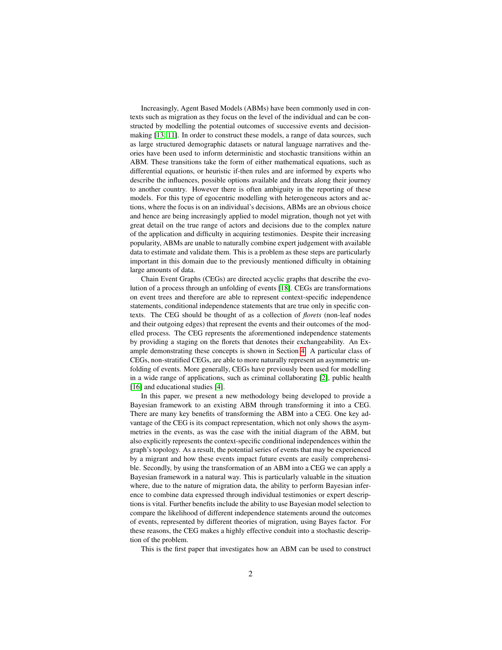Increasingly, Agent Based Models (ABMs) have been commonly used in contexts such as migration as they focus on the level of the individual and can be constructed by modelling the potential outcomes of successive events and decisionmaking [\[13,](#page-9-3) [11\]](#page-8-1). In order to construct these models, a range of data sources, such as large structured demographic datasets or natural language narratives and theories have been used to inform deterministic and stochastic transitions within an ABM. These transitions take the form of either mathematical equations, such as differential equations, or heuristic if-then rules and are informed by experts who describe the influences, possible options available and threats along their journey to another country. However there is often ambiguity in the reporting of these models. For this type of egocentric modelling with heterogeneous actors and actions, where the focus is on an individual's decisions, ABMs are an obvious choice and hence are being increasingly applied to model migration, though not yet with great detail on the true range of actors and decisions due to the complex nature of the application and difficulty in acquiring testimonies. Despite their increasing popularity, ABMs are unable to naturally combine expert judgement with available data to estimate and validate them. This is a problem as these steps are particularly important in this domain due to the previously mentioned difficulty in obtaining large amounts of data.

Chain Event Graphs (CEGs) are directed acyclic graphs that describe the evolution of a process through an unfolding of events [\[18\]](#page-9-4). CEGs are transformations on event trees and therefore are able to represent context-specific independence statements, conditional independence statements that are true only in specific contexts. The CEG should be thought of as a collection of *florets* (non-leaf nodes and their outgoing edges) that represent the events and their outcomes of the modelled process. The CEG represents the aforementioned independence statements by providing a staging on the florets that denotes their exchangeability. An Example demonstrating these concepts is shown in Section [4.](#page-4-0) A particular class of CEGs, non-stratified CEGs, are able to more naturally represent an asymmetric unfolding of events. More generally, CEGs have previously been used for modelling in a wide range of applications, such as criminal collaborating [\[2\]](#page-8-2), public health [\[16\]](#page-9-5) and educational studies [\[4\]](#page-8-3).

In this paper, we present a new methodology being developed to provide a Bayesian framework to an existing ABM through transforming it into a CEG. There are many key benefits of transforming the ABM into a CEG. One key advantage of the CEG is its compact representation, which not only shows the asymmetries in the events, as was the case with the initial diagram of the ABM, but also explicitly represents the context-specific conditional independences within the graph's topology. As a result, the potential series of events that may be experienced by a migrant and how these events impact future events are easily comprehensible. Secondly, by using the transformation of an ABM into a CEG we can apply a Bayesian framework in a natural way. This is particularly valuable in the situation where, due to the nature of migration data, the ability to perform Bayesian inference to combine data expressed through individual testimonies or expert descriptions is vital. Further benefits include the ability to use Bayesian model selection to compare the likelihood of different independence statements around the outcomes of events, represented by different theories of migration, using Bayes factor. For these reasons, the CEG makes a highly effective conduit into a stochastic description of the problem.

This is the first paper that investigates how an ABM can be used to construct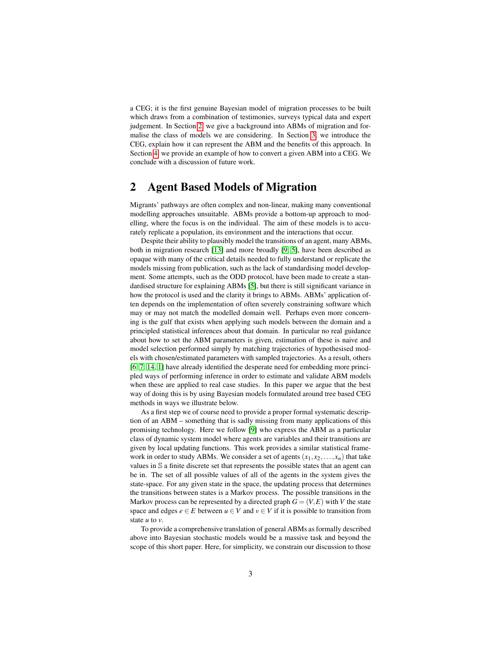a CEG; it is the first genuine Bayesian model of migration processes to be built which draws from a combination of testimonies, surveys typical data and expert judgement. In Section [2,](#page-2-0) we give a background into ABMs of migration and formalise the class of models we are considering. In Section [3,](#page-3-0) we introduce the CEG, explain how it can represent the ABM and the benefits of this approach. In Section [4,](#page-4-0) we provide an example of how to convert a given ABM into a CEG. We conclude with a discussion of future work.

# <span id="page-2-0"></span>2 Agent Based Models of Migration

Migrants' pathways are often complex and non-linear, making many conventional modelling approaches unsuitable. ABMs provide a bottom-up approach to modelling, where the focus is on the individual. The aim of these models is to accurately replicate a population, its environment and the interactions that occur.

Despite their ability to plausibly model the transitions of an agent, many ABMs, both in migration research [\[13\]](#page-9-3) and more broadly [\[9,](#page-8-4) [5\]](#page-8-5), have been described as opaque with many of the critical details needed to fully understand or replicate the models missing from publication, such as the lack of standardising model development. Some attempts, such as the ODD protocol, have been made to create a standardised structure for explaining ABMs [\[5\]](#page-8-5), but there is still significant variance in how the protocol is used and the clarity it brings to ABMs. ABMs' application often depends on the implementation of often severely constraining software which may or may not match the modelled domain well. Perhaps even more concerning is the gulf that exists when applying such models between the domain and a principled statistical inferences about that domain. In particular no real guidance about how to set the ABM parameters is given, estimation of these is naive and model selection performed simply by matching trajectories of hypothesised models with chosen/estimated parameters with sampled trajectories. As a result, others [\[6,](#page-8-6) [7,](#page-8-7) [14,](#page-9-6) [1\]](#page-8-8) have already identified the desperate need for embedding more principled ways of performing inference in order to estimate and validate ABM models when these are applied to real case studies. In this paper we argue that the best way of doing this is by using Bayesian models formulated around tree based CEG methods in ways we illustrate below.

As a first step we of course need to provide a proper formal systematic description of an ABM – something that is sadly missing from many applications of this promising technology. Here we follow [\[9\]](#page-8-4) who express the ABM as a particular class of dynamic system model where agents are variables and their transitions are given by local updating functions. This work provides a similar statistical framework in order to study ABMs. We consider a set of agents  $(x_1, x_2, \ldots, x_n)$  that take values in S a finite discrete set that represents the possible states that an agent can be in. The set of all possible values of all of the agents in the system gives the state-space. For any given state in the space, the updating process that determines the transitions between states is a Markov process. The possible transitions in the Markov process can be represented by a directed graph  $G = (V, E)$  with V the state space and edges  $e \in E$  between  $u \in V$  and  $v \in V$  if it is possible to transition from state *u* to *v*.

To provide a comprehensive translation of general ABMs as formally described above into Bayesian stochastic models would be a massive task and beyond the scope of this short paper. Here, for simplicity, we constrain our discussion to those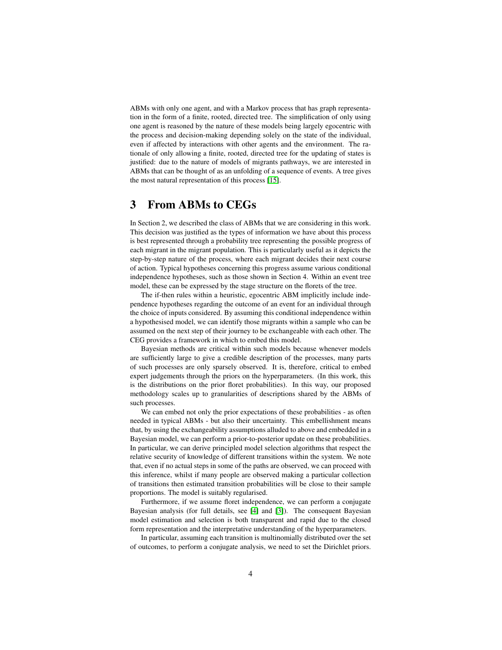ABMs with only one agent, and with a Markov process that has graph representation in the form of a finite, rooted, directed tree. The simplification of only using one agent is reasoned by the nature of these models being largely egocentric with the process and decision-making depending solely on the state of the individual, even if affected by interactions with other agents and the environment. The rationale of only allowing a finite, rooted, directed tree for the updating of states is justified: due to the nature of models of migrants pathways, we are interested in ABMs that can be thought of as an unfolding of a sequence of events. A tree gives the most natural representation of this process [\[15\]](#page-9-7).

## <span id="page-3-0"></span>3 From ABMs to CEGs

In Section 2, we described the class of ABMs that we are considering in this work. This decision was justified as the types of information we have about this process is best represented through a probability tree representing the possible progress of each migrant in the migrant population. This is particularly useful as it depicts the step-by-step nature of the process, where each migrant decides their next course of action. Typical hypotheses concerning this progress assume various conditional independence hypotheses, such as those shown in Section 4. Within an event tree model, these can be expressed by the stage structure on the florets of the tree.

The if-then rules within a heuristic, egocentric ABM implicitly include independence hypotheses regarding the outcome of an event for an individual through the choice of inputs considered. By assuming this conditional independence within a hypothesised model, we can identify those migrants within a sample who can be assumed on the next step of their journey to be exchangeable with each other. The CEG provides a framework in which to embed this model.

Bayesian methods are critical within such models because whenever models are sufficiently large to give a credible description of the processes, many parts of such processes are only sparsely observed. It is, therefore, critical to embed expert judgements through the priors on the hyperparameters. (In this work, this is the distributions on the prior floret probabilities). In this way, our proposed methodology scales up to granularities of descriptions shared by the ABMs of such processes.

We can embed not only the prior expectations of these probabilities - as often needed in typical ABMs - but also their uncertainty. This embellishment means that, by using the exchangeability assumptions alluded to above and embedded in a Bayesian model, we can perform a prior-to-posterior update on these probabilities. In particular, we can derive principled model selection algorithms that respect the relative security of knowledge of different transitions within the system. We note that, even if no actual steps in some of the paths are observed, we can proceed with this inference, whilst if many people are observed making a particular collection of transitions then estimated transition probabilities will be close to their sample proportions. The model is suitably regularised.

Furthermore, if we assume floret independence, we can perform a conjugate Bayesian analysis (for full details, see [\[4\]](#page-8-3) and [\[3\]](#page-8-9)). The consequent Bayesian model estimation and selection is both transparent and rapid due to the closed form representation and the interpretative understanding of the hyperparameters.

In particular, assuming each transition is multinomially distributed over the set of outcomes, to perform a conjugate analysis, we need to set the Dirichlet priors.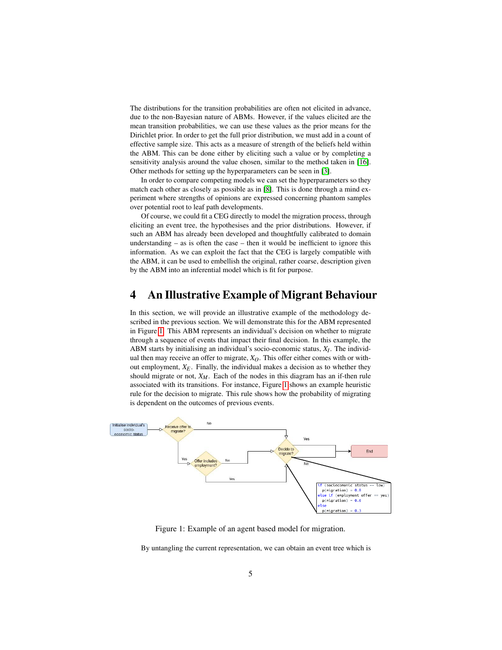The distributions for the transition probabilities are often not elicited in advance, due to the non-Bayesian nature of ABMs. However, if the values elicited are the mean transition probabilities, we can use these values as the prior means for the Dirichlet prior. In order to get the full prior distribution, we must add in a count of effective sample size. This acts as a measure of strength of the beliefs held within the ABM. This can be done either by eliciting such a value or by completing a sensitivity analysis around the value chosen, similar to the method taken in [\[16\]](#page-9-5). Other methods for setting up the hyperparameters can be seen in [\[3\]](#page-8-9).

In order to compare competing models we can set the hyperparameters so they match each other as closely as possible as in [\[8\]](#page-8-10). This is done through a mind experiment where strengths of opinions are expressed concerning phantom samples over potential root to leaf path developments.

Of course, we could fit a CEG directly to model the migration process, through eliciting an event tree, the hypothesises and the prior distributions. However, if such an ABM has already been developed and thoughtfully calibrated to domain understanding – as is often the case – then it would be inefficient to ignore this information. As we can exploit the fact that the CEG is largely compatible with the ABM, it can be used to embellish the original, rather coarse, description given by the ABM into an inferential model which is fit for purpose.

# <span id="page-4-0"></span>4 An Illustrative Example of Migrant Behaviour

In this section, we will provide an illustrative example of the methodology described in the previous section. We will demonstrate this for the ABM represented in Figure [1.](#page-4-1) This ABM represents an individual's decision on whether to migrate through a sequence of events that impact their final decision. In this example, the ABM starts by initialising an individual's socio-economic status, *XI* . The individual then may receive an offer to migrate,  $X_O$ . This offer either comes with or without employment,  $X_E$ . Finally, the individual makes a decision as to whether they should migrate or not, *XM*. Each of the nodes in this diagram has an if-then rule associated with its transitions. For instance, Figure [1](#page-4-1) shows an example heuristic rule for the decision to migrate. This rule shows how the probability of migrating is dependent on the outcomes of previous events.



<span id="page-4-1"></span>Figure 1: Example of an agent based model for migration.

By untangling the current representation, we can obtain an event tree which is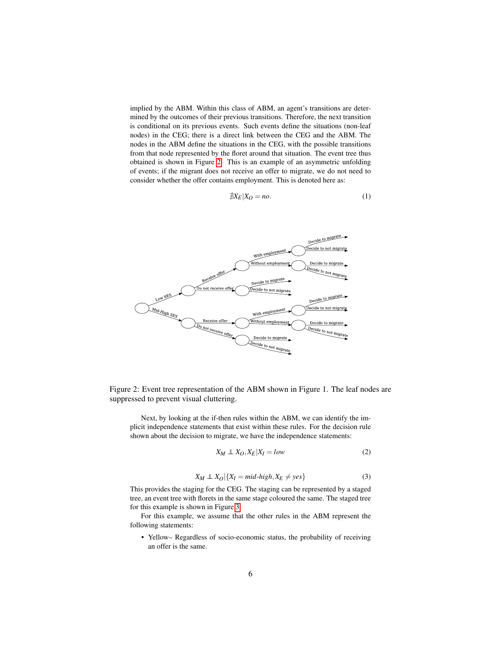implied by the ABM. Within this class of ABM, an agent's transitions are determined by the outcomes of their previous transitions. Therefore, the next transition is conditional on its previous events. Such events define the situations (non-leaf nodes) in the CEG; there is a direct link between the CEG and the ABM. The nodes in the ABM define the situations in the CEG, with the possible transitions from that node represented by the floret around that situation. The event tree thus obtained is shown in Figure [2.](#page-5-0) This is an example of an asymmetric unfolding of events; if the migrant does not receive an offer to migrate, we do not need to consider whether the offer contains employment. This is denoted here as:

$$
\nexists X_E | X_O = no. \tag{1}
$$



<span id="page-5-0"></span>Figure 2: Event tree representation of the ABM shown in Figure 1. The leaf nodes are suppressed to prevent visual cluttering.

Next, by looking at the if-then rules within the ABM, we can identify the implicit independence statements that exist within these rules. For the decision rule shown about the decision to migrate, we have the independence statements:

$$
X_M \perp \!\!\!\! \perp X_O, X_E | X_I = low \tag{2}
$$

$$
X_M \perp\!\!\!\perp X_O | \{ X_I = mid\text{-high}, X_E \neq yes \} \tag{3}
$$

This provides the staging for the CEG. The staging can be represented by a staged tree, an event tree with florets in the same stage coloured the same. The staged tree for this example is shown in Figure [3.](#page-6-0)

For this example, we assume that the other rules in the ABM represent the following statements:

• Yellow– Regardless of socio-economic status, the probability of receiving an offer is the same.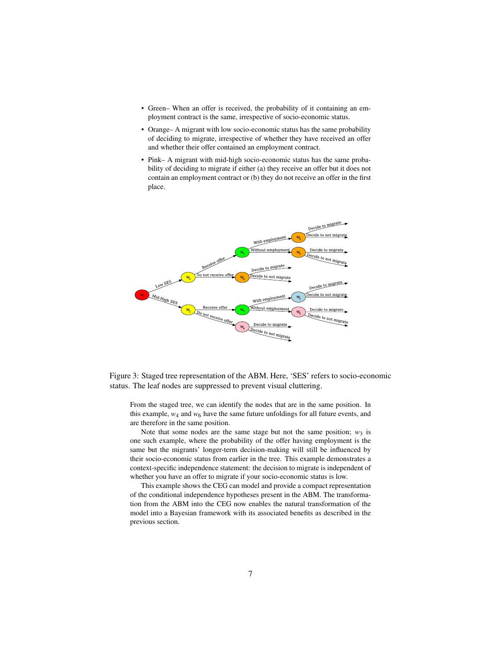- Green– When an offer is received, the probability of it containing an employment contract is the same, irrespective of socio-economic status.
- Orange– A migrant with low socio-economic status has the same probability of deciding to migrate, irrespective of whether they have received an offer and whether their offer contained an employment contract.
- Pink– A migrant with mid-high socio-economic status has the same probability of deciding to migrate if either (a) they receive an offer but it does not contain an employment contract or (b) they do not receive an offer in the first place.



<span id="page-6-0"></span>Figure 3: Staged tree representation of the ABM. Here, 'SES' refers to socio-economic status. The leaf nodes are suppressed to prevent visual cluttering.

From the staged tree, we can identify the nodes that are in the same position. In this example,  $w_4$  and  $w_6$  have the same future unfoldings for all future events, and are therefore in the same position.

Note that some nodes are the same stage but not the same position;  $w_3$  is one such example, where the probability of the offer having employment is the same but the migrants' longer-term decision-making will still be influenced by their socio-economic status from earlier in the tree. This example demonstrates a context-specific independence statement: the decision to migrate is independent of whether you have an offer to migrate if your socio-economic status is low.

This example shows the CEG can model and provide a compact representation of the conditional independence hypotheses present in the ABM. The transformation from the ABM into the CEG now enables the natural transformation of the model into a Bayesian framework with its associated benefits as described in the previous section.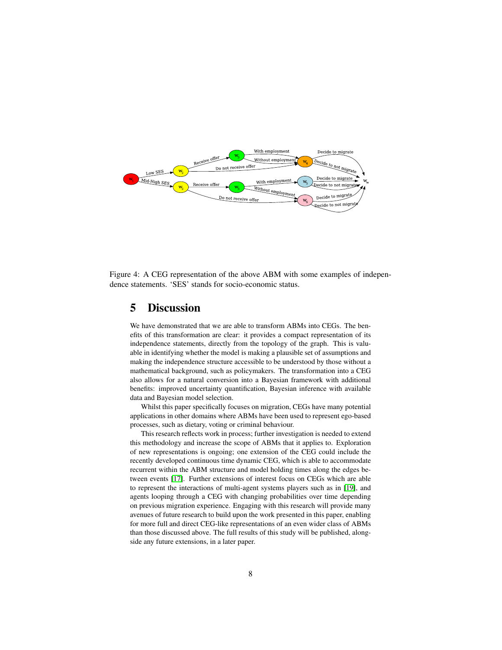

Figure 4: A CEG representation of the above ABM with some examples of independence statements. 'SES' stands for socio-economic status.

## 5 Discussion

We have demonstrated that we are able to transform ABMs into CEGs. The benefits of this transformation are clear: it provides a compact representation of its independence statements, directly from the topology of the graph. This is valuable in identifying whether the model is making a plausible set of assumptions and making the independence structure accessible to be understood by those without a mathematical background, such as policymakers. The transformation into a CEG also allows for a natural conversion into a Bayesian framework with additional benefits: improved uncertainty quantification, Bayesian inference with available data and Bayesian model selection.

Whilst this paper specifically focuses on migration, CEGs have many potential applications in other domains where ABMs have been used to represent ego-based processes, such as dietary, voting or criminal behaviour.

This research reflects work in process; further investigation is needed to extend this methodology and increase the scope of ABMs that it applies to. Exploration of new representations is ongoing; one extension of the CEG could include the recently developed continuous time dynamic CEG, which is able to accommodate recurrent within the ABM structure and model holding times along the edges between events [\[17\]](#page-9-8). Further extensions of interest focus on CEGs which are able to represent the interactions of multi-agent systems players such as in [\[19\]](#page-9-9), and agents looping through a CEG with changing probabilities over time depending on previous migration experience. Engaging with this research will provide many avenues of future research to build upon the work presented in this paper, enabling for more full and direct CEG-like representations of an even wider class of ABMs than those discussed above. The full results of this study will be published, alongside any future extensions, in a later paper.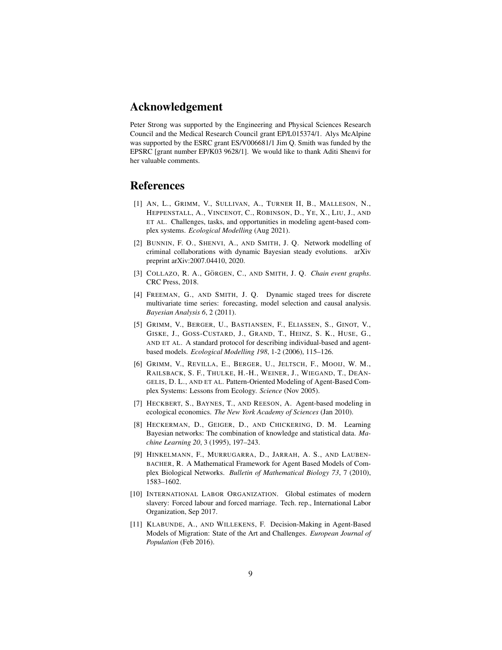# Acknowledgement

Peter Strong was supported by the Engineering and Physical Sciences Research Council and the Medical Research Council grant EP/L015374/1. Alys McAlpine was supported by the ESRC grant ES/V006681/1 Jim Q. Smith was funded by the EPSRC [grant number EP/K03 9628/1]. We would like to thank Aditi Shenvi for her valuable comments.

# References

- <span id="page-8-8"></span>[1] AN, L., GRIMM, V., SULLIVAN, A., TURNER II, B., MALLESON, N., HEPPENSTALL, A., VINCENOT, C., ROBINSON, D., YE, X., LIU, J., AND ET AL. Challenges, tasks, and opportunities in modeling agent-based complex systems. *Ecological Modelling* (Aug 2021).
- <span id="page-8-2"></span>[2] BUNNIN, F. O., SHENVI, A., AND SMITH, J. Q. Network modelling of criminal collaborations with dynamic Bayesian steady evolutions. arXiv preprint arXiv:2007.04410, 2020.
- <span id="page-8-9"></span>[3] COLLAZO, R. A., GÖRGEN, C., AND SMITH, J. Q. *Chain event graphs*. CRC Press, 2018.
- <span id="page-8-3"></span>[4] FREEMAN, G., AND SMITH, J. Q. Dynamic staged trees for discrete multivariate time series: forecasting, model selection and causal analysis. *Bayesian Analysis 6*, 2 (2011).
- <span id="page-8-5"></span>[5] GRIMM, V., BERGER, U., BASTIANSEN, F., ELIASSEN, S., GINOT, V., GISKE, J., GOSS-CUSTARD, J., GRAND, T., HEINZ, S. K., HUSE, G., AND ET AL. A standard protocol for describing individual-based and agentbased models. *Ecological Modelling 198*, 1-2 (2006), 115–126.
- <span id="page-8-6"></span>[6] GRIMM, V., REVILLA, E., BERGER, U., JELTSCH, F., MOOIJ, W. M., RAILSBACK, S. F., THULKE, H.-H., WEINER, J., WIEGAND, T., DEAN-GELIS, D. L., AND ET AL. Pattern-Oriented Modeling of Agent-Based Complex Systems: Lessons from Ecology. *Science* (Nov 2005).
- <span id="page-8-7"></span>[7] HECKBERT, S., BAYNES, T., AND REESON, A. Agent-based modeling in ecological economics. *The New York Academy of Sciences* (Jan 2010).
- <span id="page-8-10"></span>[8] HECKERMAN, D., GEIGER, D., AND CHICKERING, D. M. Learning Bayesian networks: The combination of knowledge and statistical data. *Machine Learning 20*, 3 (1995), 197–243.
- <span id="page-8-4"></span>[9] HINKELMANN, F., MURRUGARRA, D., JARRAH, A. S., AND LAUBEN-BACHER, R. A Mathematical Framework for Agent Based Models of Complex Biological Networks. *Bulletin of Mathematical Biology 73*, 7 (2010), 1583–1602.
- <span id="page-8-0"></span>[10] INTERNATIONAL LABOR ORGANIZATION. Global estimates of modern slavery: Forced labour and forced marriage. Tech. rep., International Labor Organization, Sep 2017.
- <span id="page-8-1"></span>[11] KLABUNDE, A., AND WILLEKENS, F. Decision-Making in Agent-Based Models of Migration: State of the Art and Challenges. *European Journal of Population* (Feb 2016).